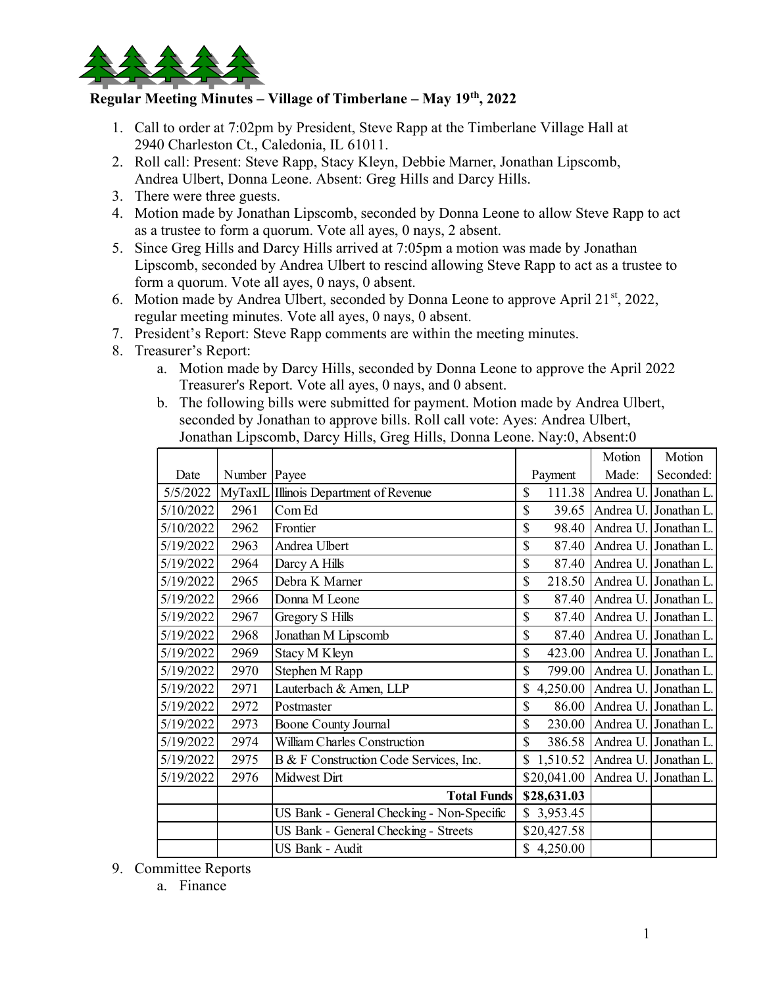

## Regular Meeting Minutes – Village of Timberlane – May 19<sup>th</sup>, 2022

- 1. Call to order at 7:02pm by President, Steve Rapp at the Timberlane Village Hall at 2940 Charleston Ct., Caledonia, IL 61011.
- 2. Roll call: Present: Steve Rapp, Stacy Kleyn, Debbie Marner, Jonathan Lipscomb, Andrea Ulbert, Donna Leone. Absent: Greg Hills and Darcy Hills.
- 3. There were three guests.
- 4. Motion made by Jonathan Lipscomb, seconded by Donna Leone to allow Steve Rapp to act as a trustee to form a quorum. Vote all ayes, 0 nays, 2 absent.
- 5. Since Greg Hills and Darcy Hills arrived at 7:05pm a motion was made by Jonathan Lipscomb, seconded by Andrea Ulbert to rescind allowing Steve Rapp to act as a trustee to form a quorum. Vote all ayes, 0 nays, 0 absent.
- 6. Motion made by Andrea Ulbert, seconded by Donna Leone to approve April  $21^{st}$ , 2022, regular meeting minutes. Vote all ayes, 0 nays, 0 absent.
- 7. President's Report: Steve Rapp comments are within the meeting minutes.
- 8. Treasurer's Report:
	- a. Motion made by Darcy Hills, seconded by Donna Leone to approve the April 2022 Treasurer's Report. Vote all ayes, 0 nays, and 0 absent.
	- b. The following bills were submitted for payment. Motion made by Andrea Ulbert, seconded by Jonathan to approve bills. Roll call vote: Ayes: Andrea Ulbert, Jonathan Lipscomb, Darcy Hills, Greg Hills, Donna Leone. Nay:0, Absent:0

| drea Ulbert, Donna Leone. Absent: Greg Hills and Darcy Hills.<br>ere were three guests.<br>tion made by Jonathan Lipscomb, seconded by Donna Leone to allow Steve Rapp to act<br>a trustee to form a quorum. Vote all ayes, 0 nays, 2 absent.<br>ce Greg Hills and Darcy Hills arrived at 7:05pm a motion was made by Jonathan<br>scomb, seconded by Andrea Ulbert to rescind allowing Steve Rapp to act as a trustee to<br>m a quorum. Vote all ayes, 0 nays, 0 absent.<br>tion made by Andrea Ulbert, seconded by Donna Leone to approve April 21 <sup>st</sup> , 2022,<br>ular meeting minutes. Vote all ayes, 0 nays, 0 absent.<br>sident's Report: Steve Rapp comments are within the meeting minutes.<br>asurer's Report:<br>a. Motion made by Darcy Hills, seconded by Donna Leone to approve the April 2022<br>Treasurer's Report. Vote all ayes, 0 nays, and 0 absent.<br>b. The following bills were submitted for payment. Motion made by Andrea Ulbert,<br>seconded by Jonathan to approve bills. Roll call vote: Ayes: Andrea Ulbert,<br>Jonathan Lipscomb, Darcy Hills, Greg Hills, Donna Leone. Nay:0, Absent:0<br>Motion<br>Motion<br>Number Payee<br>Made:<br>Seconded:<br>Date<br>Payment<br>5/5/2022 MyTaxIL Illinois Department of Revenue<br>\$<br>111.38 Andrea U<br>Jonathan L<br>\$<br>5/10/2022<br>2961<br>Com Ed<br>39.65   Andrea U. Jonathan L<br>\$<br>5/10/2022<br>2962<br>Frontier<br>98.40<br>Andrea U.<br>. Jonathan L |
|---------------------------------------------------------------------------------------------------------------------------------------------------------------------------------------------------------------------------------------------------------------------------------------------------------------------------------------------------------------------------------------------------------------------------------------------------------------------------------------------------------------------------------------------------------------------------------------------------------------------------------------------------------------------------------------------------------------------------------------------------------------------------------------------------------------------------------------------------------------------------------------------------------------------------------------------------------------------------------------------------------------------------------------------------------------------------------------------------------------------------------------------------------------------------------------------------------------------------------------------------------------------------------------------------------------------------------------------------------------------------------------------------------------------------------------------------------|
|                                                                                                                                                                                                                                                                                                                                                                                                                                                                                                                                                                                                                                                                                                                                                                                                                                                                                                                                                                                                                                                                                                                                                                                                                                                                                                                                                                                                                                                         |
|                                                                                                                                                                                                                                                                                                                                                                                                                                                                                                                                                                                                                                                                                                                                                                                                                                                                                                                                                                                                                                                                                                                                                                                                                                                                                                                                                                                                                                                         |
|                                                                                                                                                                                                                                                                                                                                                                                                                                                                                                                                                                                                                                                                                                                                                                                                                                                                                                                                                                                                                                                                                                                                                                                                                                                                                                                                                                                                                                                         |
|                                                                                                                                                                                                                                                                                                                                                                                                                                                                                                                                                                                                                                                                                                                                                                                                                                                                                                                                                                                                                                                                                                                                                                                                                                                                                                                                                                                                                                                         |
|                                                                                                                                                                                                                                                                                                                                                                                                                                                                                                                                                                                                                                                                                                                                                                                                                                                                                                                                                                                                                                                                                                                                                                                                                                                                                                                                                                                                                                                         |
|                                                                                                                                                                                                                                                                                                                                                                                                                                                                                                                                                                                                                                                                                                                                                                                                                                                                                                                                                                                                                                                                                                                                                                                                                                                                                                                                                                                                                                                         |
|                                                                                                                                                                                                                                                                                                                                                                                                                                                                                                                                                                                                                                                                                                                                                                                                                                                                                                                                                                                                                                                                                                                                                                                                                                                                                                                                                                                                                                                         |
|                                                                                                                                                                                                                                                                                                                                                                                                                                                                                                                                                                                                                                                                                                                                                                                                                                                                                                                                                                                                                                                                                                                                                                                                                                                                                                                                                                                                                                                         |
|                                                                                                                                                                                                                                                                                                                                                                                                                                                                                                                                                                                                                                                                                                                                                                                                                                                                                                                                                                                                                                                                                                                                                                                                                                                                                                                                                                                                                                                         |
|                                                                                                                                                                                                                                                                                                                                                                                                                                                                                                                                                                                                                                                                                                                                                                                                                                                                                                                                                                                                                                                                                                                                                                                                                                                                                                                                                                                                                                                         |
|                                                                                                                                                                                                                                                                                                                                                                                                                                                                                                                                                                                                                                                                                                                                                                                                                                                                                                                                                                                                                                                                                                                                                                                                                                                                                                                                                                                                                                                         |
|                                                                                                                                                                                                                                                                                                                                                                                                                                                                                                                                                                                                                                                                                                                                                                                                                                                                                                                                                                                                                                                                                                                                                                                                                                                                                                                                                                                                                                                         |
|                                                                                                                                                                                                                                                                                                                                                                                                                                                                                                                                                                                                                                                                                                                                                                                                                                                                                                                                                                                                                                                                                                                                                                                                                                                                                                                                                                                                                                                         |
|                                                                                                                                                                                                                                                                                                                                                                                                                                                                                                                                                                                                                                                                                                                                                                                                                                                                                                                                                                                                                                                                                                                                                                                                                                                                                                                                                                                                                                                         |
|                                                                                                                                                                                                                                                                                                                                                                                                                                                                                                                                                                                                                                                                                                                                                                                                                                                                                                                                                                                                                                                                                                                                                                                                                                                                                                                                                                                                                                                         |
|                                                                                                                                                                                                                                                                                                                                                                                                                                                                                                                                                                                                                                                                                                                                                                                                                                                                                                                                                                                                                                                                                                                                                                                                                                                                                                                                                                                                                                                         |
|                                                                                                                                                                                                                                                                                                                                                                                                                                                                                                                                                                                                                                                                                                                                                                                                                                                                                                                                                                                                                                                                                                                                                                                                                                                                                                                                                                                                                                                         |
|                                                                                                                                                                                                                                                                                                                                                                                                                                                                                                                                                                                                                                                                                                                                                                                                                                                                                                                                                                                                                                                                                                                                                                                                                                                                                                                                                                                                                                                         |
|                                                                                                                                                                                                                                                                                                                                                                                                                                                                                                                                                                                                                                                                                                                                                                                                                                                                                                                                                                                                                                                                                                                                                                                                                                                                                                                                                                                                                                                         |
|                                                                                                                                                                                                                                                                                                                                                                                                                                                                                                                                                                                                                                                                                                                                                                                                                                                                                                                                                                                                                                                                                                                                                                                                                                                                                                                                                                                                                                                         |
| 5/19/2022<br>2963<br>\$<br>Andrea Ulbert<br>87.40 Andrea U<br>. Jonathan L                                                                                                                                                                                                                                                                                                                                                                                                                                                                                                                                                                                                                                                                                                                                                                                                                                                                                                                                                                                                                                                                                                                                                                                                                                                                                                                                                                              |
| 5/19/2022<br>2964<br>\$<br>Darcy A Hills<br>87.40 Andrea U. Jonathan L                                                                                                                                                                                                                                                                                                                                                                                                                                                                                                                                                                                                                                                                                                                                                                                                                                                                                                                                                                                                                                                                                                                                                                                                                                                                                                                                                                                  |
| \$<br>5/19/2022<br>Debra K Marner<br>218.50 Andrea U. Jonathan L<br>2965                                                                                                                                                                                                                                                                                                                                                                                                                                                                                                                                                                                                                                                                                                                                                                                                                                                                                                                                                                                                                                                                                                                                                                                                                                                                                                                                                                                |
| 5/19/2022<br>\$<br>2966<br>Donna M Leone<br>87.40 Andrea U.<br>. Jonathan L                                                                                                                                                                                                                                                                                                                                                                                                                                                                                                                                                                                                                                                                                                                                                                                                                                                                                                                                                                                                                                                                                                                                                                                                                                                                                                                                                                             |
| \$<br>5/19/2022<br>2967<br>Gregory S Hills<br>87.40   Andrea U. Jonathan L                                                                                                                                                                                                                                                                                                                                                                                                                                                                                                                                                                                                                                                                                                                                                                                                                                                                                                                                                                                                                                                                                                                                                                                                                                                                                                                                                                              |
| 5/19/2022<br>\$<br>2968<br>Jonathan M Lipscomb<br>87.40 Andrea U. Jonathan L                                                                                                                                                                                                                                                                                                                                                                                                                                                                                                                                                                                                                                                                                                                                                                                                                                                                                                                                                                                                                                                                                                                                                                                                                                                                                                                                                                            |
| \$<br>5/19/2022<br>2969<br>Stacy M Kleyn<br>423.00 Andrea U. Jonathan L                                                                                                                                                                                                                                                                                                                                                                                                                                                                                                                                                                                                                                                                                                                                                                                                                                                                                                                                                                                                                                                                                                                                                                                                                                                                                                                                                                                 |
| \$<br>5/19/2022<br>Stephen M Rapp<br>799.00 Andrea U. Jonathan L<br>2970                                                                                                                                                                                                                                                                                                                                                                                                                                                                                                                                                                                                                                                                                                                                                                                                                                                                                                                                                                                                                                                                                                                                                                                                                                                                                                                                                                                |
| 5/19/2022<br>2971<br>Lauterbach & Amen, LLP<br>4,250.00   Andrea U.   Jonathan L                                                                                                                                                                                                                                                                                                                                                                                                                                                                                                                                                                                                                                                                                                                                                                                                                                                                                                                                                                                                                                                                                                                                                                                                                                                                                                                                                                        |
| \$<br>5/19/2022<br>2972<br>86.00 Andrea U. Jonathan L.<br>Postmaster                                                                                                                                                                                                                                                                                                                                                                                                                                                                                                                                                                                                                                                                                                                                                                                                                                                                                                                                                                                                                                                                                                                                                                                                                                                                                                                                                                                    |
| $\sqrt{5/19/2022}$<br>2973<br><b>Boone County Journal</b><br>\$<br>230.00 Andrea U. Jonathan L.                                                                                                                                                                                                                                                                                                                                                                                                                                                                                                                                                                                                                                                                                                                                                                                                                                                                                                                                                                                                                                                                                                                                                                                                                                                                                                                                                         |
| 5/19/2022<br>2974<br>William Charles Construction<br>\$<br>386.58 Andrea U<br>. Jonathan L                                                                                                                                                                                                                                                                                                                                                                                                                                                                                                                                                                                                                                                                                                                                                                                                                                                                                                                                                                                                                                                                                                                                                                                                                                                                                                                                                              |
| 5/19/2022<br>2975<br>B & F Construction Code Services, Inc.<br>\$1,510.52<br>Andrea U.<br>. Jonathan L                                                                                                                                                                                                                                                                                                                                                                                                                                                                                                                                                                                                                                                                                                                                                                                                                                                                                                                                                                                                                                                                                                                                                                                                                                                                                                                                                  |
| 5/19/2022<br>2976<br>Midwest Dirt<br>\$20,041.00 Andrea U.<br>. Jonathan L                                                                                                                                                                                                                                                                                                                                                                                                                                                                                                                                                                                                                                                                                                                                                                                                                                                                                                                                                                                                                                                                                                                                                                                                                                                                                                                                                                              |
| <b>Total Funds</b><br>\$28,631.03                                                                                                                                                                                                                                                                                                                                                                                                                                                                                                                                                                                                                                                                                                                                                                                                                                                                                                                                                                                                                                                                                                                                                                                                                                                                                                                                                                                                                       |
| US Bank - General Checking - Non-Specific<br>\$3,953.45                                                                                                                                                                                                                                                                                                                                                                                                                                                                                                                                                                                                                                                                                                                                                                                                                                                                                                                                                                                                                                                                                                                                                                                                                                                                                                                                                                                                 |
| US Bank - General Checking - Streets<br>\$20,427.58                                                                                                                                                                                                                                                                                                                                                                                                                                                                                                                                                                                                                                                                                                                                                                                                                                                                                                                                                                                                                                                                                                                                                                                                                                                                                                                                                                                                     |
| US Bank - Audit<br>\$4,250.00                                                                                                                                                                                                                                                                                                                                                                                                                                                                                                                                                                                                                                                                                                                                                                                                                                                                                                                                                                                                                                                                                                                                                                                                                                                                                                                                                                                                                           |
| mmittee Reports                                                                                                                                                                                                                                                                                                                                                                                                                                                                                                                                                                                                                                                                                                                                                                                                                                                                                                                                                                                                                                                                                                                                                                                                                                                                                                                                                                                                                                         |
| a. Finance                                                                                                                                                                                                                                                                                                                                                                                                                                                                                                                                                                                                                                                                                                                                                                                                                                                                                                                                                                                                                                                                                                                                                                                                                                                                                                                                                                                                                                              |
|                                                                                                                                                                                                                                                                                                                                                                                                                                                                                                                                                                                                                                                                                                                                                                                                                                                                                                                                                                                                                                                                                                                                                                                                                                                                                                                                                                                                                                                         |
|                                                                                                                                                                                                                                                                                                                                                                                                                                                                                                                                                                                                                                                                                                                                                                                                                                                                                                                                                                                                                                                                                                                                                                                                                                                                                                                                                                                                                                                         |

- 9. Committee Reports
	- a. Finance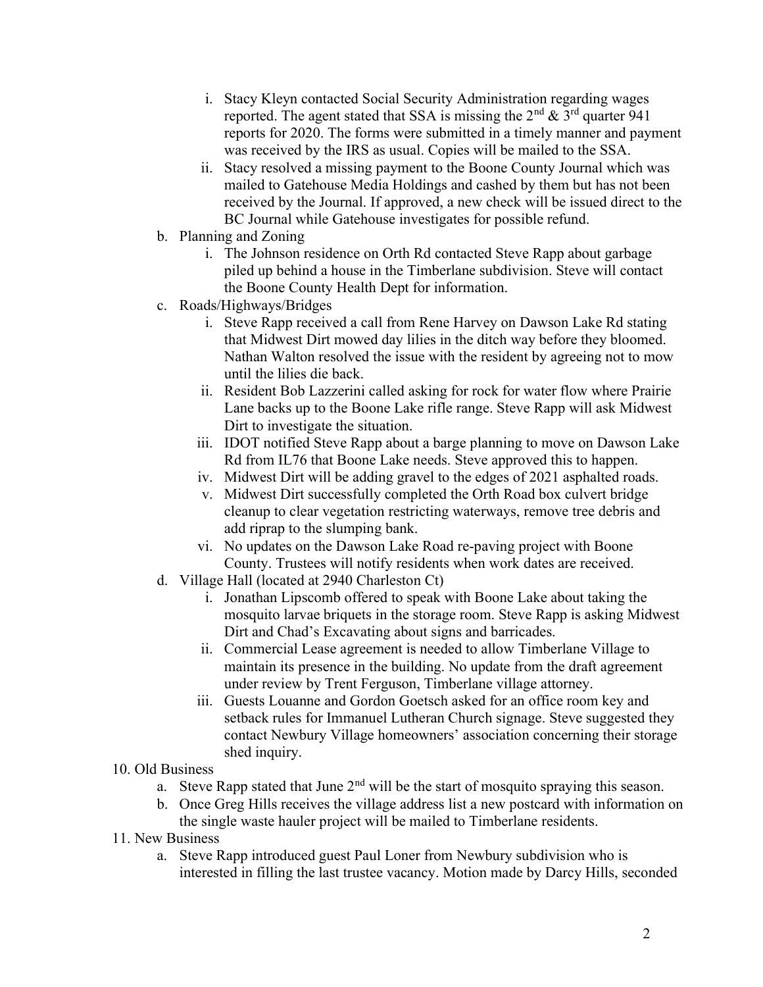- i. Stacy Kleyn contacted Social Security Administration regarding wages reported. The agent stated that SSA is missing the  $2<sup>nd</sup>$  &  $3<sup>rd</sup>$  quarter 941 reports for 2020. The forms were submitted in a timely manner and payment was received by the IRS as usual. Copies will be mailed to the SSA.
- ii. Stacy resolved a missing payment to the Boone County Journal which was mailed to Gatehouse Media Holdings and cashed by them but has not been received by the Journal. If approved, a new check will be issued direct to the BC Journal while Gatehouse investigates for possible refund.
- b. Planning and Zoning
	- i. The Johnson residence on Orth Rd contacted Steve Rapp about garbage piled up behind a house in the Timberlane subdivision. Steve will contact the Boone County Health Dept for information.
- c. Roads/Highways/Bridges
	- i. Steve Rapp received a call from Rene Harvey on Dawson Lake Rd stating that Midwest Dirt mowed day lilies in the ditch way before they bloomed. Nathan Walton resolved the issue with the resident by agreeing not to mow until the lilies die back.
	- ii. Resident Bob Lazzerini called asking for rock for water flow where Prairie Lane backs up to the Boone Lake rifle range. Steve Rapp will ask Midwest Dirt to investigate the situation.
	- iii. IDOT notified Steve Rapp about a barge planning to move on Dawson Lake Rd from IL76 that Boone Lake needs. Steve approved this to happen.
	- iv. Midwest Dirt will be adding gravel to the edges of 2021 asphalted roads.
	- v. Midwest Dirt successfully completed the Orth Road box culvert bridge cleanup to clear vegetation restricting waterways, remove tree debris and add riprap to the slumping bank.
	- vi. No updates on the Dawson Lake Road re-paving project with Boone County. Trustees will notify residents when work dates are received.
- d. Village Hall (located at 2940 Charleston Ct)
	- i. Jonathan Lipscomb offered to speak with Boone Lake about taking the mosquito larvae briquets in the storage room. Steve Rapp is asking Midwest Dirt and Chad's Excavating about signs and barricades.
	- ii. Commercial Lease agreement is needed to allow Timberlane Village to maintain its presence in the building. No update from the draft agreement under review by Trent Ferguson, Timberlane village attorney.
	- iii. Guests Louanne and Gordon Goetsch asked for an office room key and setback rules for Immanuel Lutheran Church signage. Steve suggested they contact Newbury Village homeowners' association concerning their storage shed inquiry.

## 10. Old Business

- a. Steve Rapp stated that June  $2<sup>nd</sup>$  will be the start of mosquito spraying this season.
- b. Once Greg Hills receives the village address list a new postcard with information on the single waste hauler project will be mailed to Timberlane residents.
- 11. New Business
	- a. Steve Rapp introduced guest Paul Loner from Newbury subdivision who is interested in filling the last trustee vacancy. Motion made by Darcy Hills, seconded